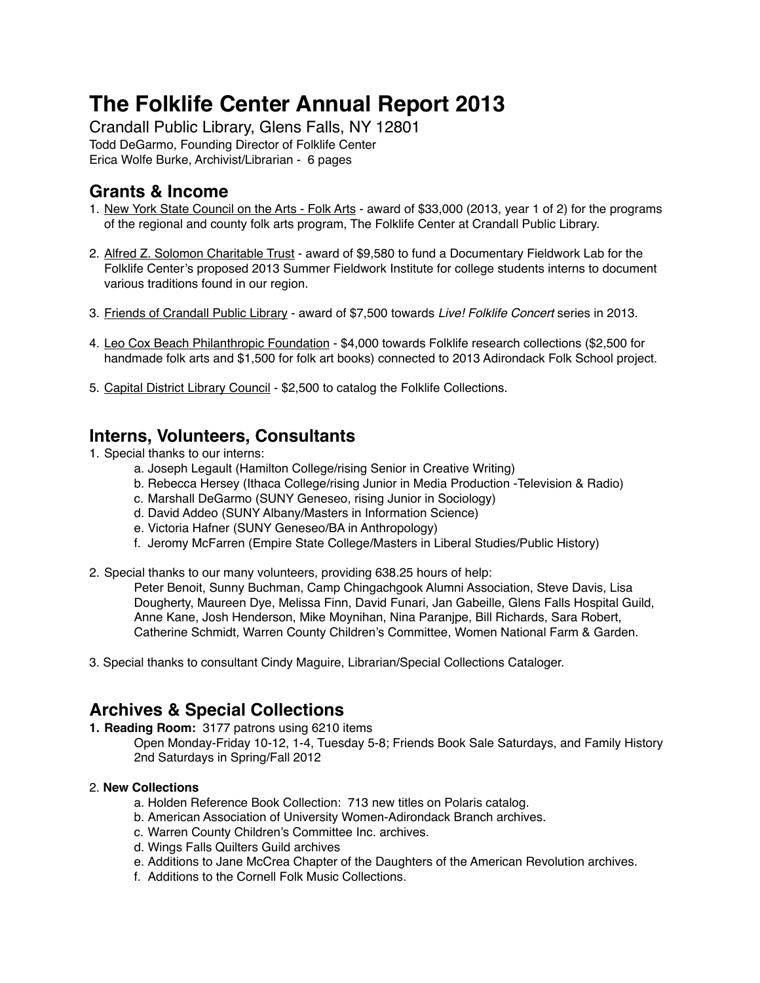# **The Folklife Center Annual Report 2013**

Crandall Public Library, Glens Falls, NY 12801 Todd DeGarmo, Founding Director of Folklife Center Erica Wolfe Burke, Archivist/Librarian - 6 pages

# **Grants & Income**

- 1. New York State Council on the Arts Folk Arts award of \$33,000 (2013, year 1 of 2) for the programs of the regional and county folk arts program, The Folklife Center at Crandall Public Library.
- 2. Alfred Z. Solomon Charitable Trust award of \$9,580 to fund a Documentary Fieldwork Lab for the Folklife Center's proposed 2013 Summer Fieldwork Institute for college students interns to document various traditions found in our region.
- 3. Friends of Crandall Public Library award of \$7,500 towards *Live! Folklife Concert* series in 2013.
- 4. Leo Cox Beach Philanthropic Foundation \$4,000 towards Folklife research collections (\$2,500 for handmade folk arts and \$1,500 for folk art books) connected to 2013 Adirondack Folk School project.
- 5. Capital District Library Council \$2,500 to catalog the Folklife Collections.

# **Interns, Volunteers, Consultants**

- 1. Special thanks to our interns:
	- a. Joseph Legault (Hamilton College/rising Senior in Creative Writing)
	- b. Rebecca Hersey (Ithaca College/rising Junior in Media Production -Television & Radio)
	- c. Marshall DeGarmo (SUNY Geneseo, rising Junior in Sociology)
	- d. David Addeo (SUNY Albany/Masters in Information Science)
	- e. Victoria Hafner (SUNY Geneseo/BA in Anthropology)
	- f. Jeromy McFarren (Empire State College/Masters in Liberal Studies/Public History)
- 2. Special thanks to our many volunteers, providing 638.25 hours of help:

Peter Benoit, Sunny Buchman, Camp Chingachgook Alumni Association, Steve Davis, Lisa Dougherty, Maureen Dye, Melissa Finn, David Funari, Jan Gabeille, Glens Falls Hospital Guild, Anne Kane, Josh Henderson, Mike Moynihan, Nina Paranjpe, Bill Richards, Sara Robert, Catherine Schmidt, Warren County Children's Committee, Women National Farm & Garden.

3. Special thanks to consultant Cindy Maguire, Librarian/Special Collections Cataloger.

# **Archives & Special Collections**

**1. Reading Room:** 3177 patrons using 6210 items

Open Monday-Friday 10-12, 1-4, Tuesday 5-8; Friends Book Sale Saturdays, and Family History 2nd Saturdays in Spring/Fall 2012

#### 2. **New Collections**

- a. Holden Reference Book Collection: 713 new titles on Polaris catalog.
- b. American Association of University Women-Adirondack Branch archives.
- c. Warren County Children's Committee Inc. archives.
- d. Wings Falls Quilters Guild archives
- e. Additions to Jane McCrea Chapter of the Daughters of the American Revolution archives.
- f. Additions to the Cornell Folk Music Collections.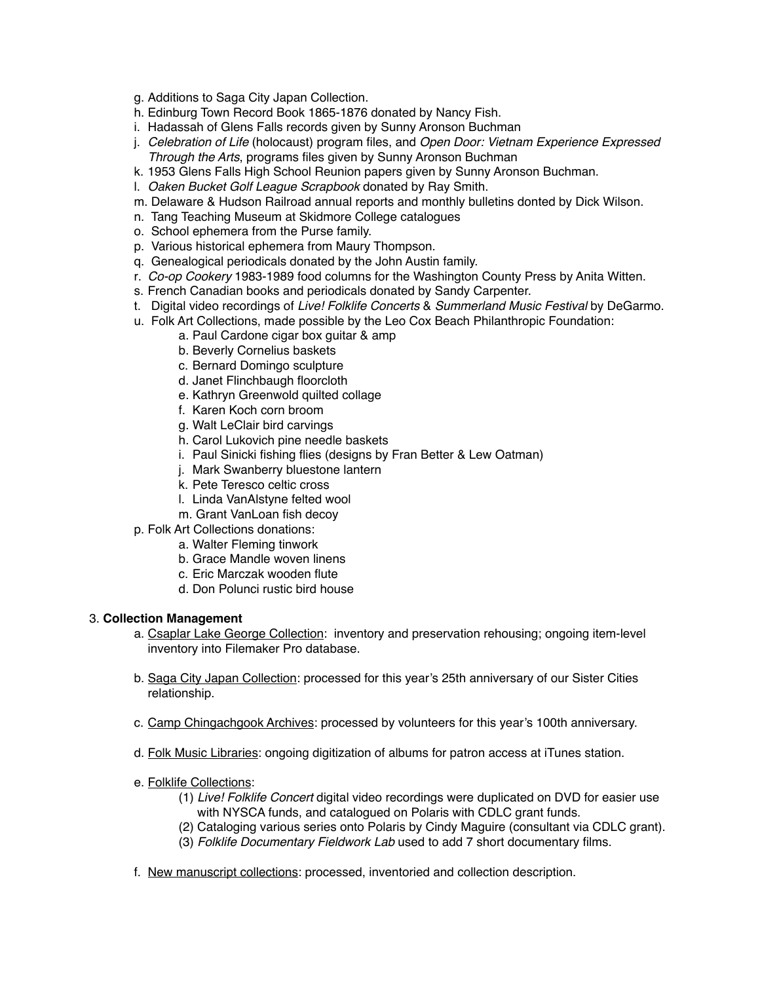- g. Additions to Saga City Japan Collection.
- h. Edinburg Town Record Book 1865-1876 donated by Nancy Fish.
- i. Hadassah of Glens Falls records given by Sunny Aronson Buchman
- j. *Celebration of Life* (holocaust) program files, and *Open Door: Vietnam Experience Expressed Through the Arts*, programs files given by Sunny Aronson Buchman
- k. 1953 Glens Falls High School Reunion papers given by Sunny Aronson Buchman.
- l. *Oaken Bucket Golf League Scrapbook* donated by Ray Smith.
- m. Delaware & Hudson Railroad annual reports and monthly bulletins donted by Dick Wilson.
- n. Tang Teaching Museum at Skidmore College catalogues
- o. School ephemera from the Purse family.
- p. Various historical ephemera from Maury Thompson.
- q. Genealogical periodicals donated by the John Austin family.
- r. *Co-op Cookery* 1983-1989 food columns for the Washington County Press by Anita Witten.
- s. French Canadian books and periodicals donated by Sandy Carpenter.
- t. Digital video recordings of *Live! Folklife Concerts* & *Summerland Music Festival* by DeGarmo.
- u. Folk Art Collections, made possible by the Leo Cox Beach Philanthropic Foundation:
	- a. Paul Cardone cigar box guitar & amp
	- b. Beverly Cornelius baskets
	- c. Bernard Domingo sculpture
	- d. Janet Flinchbaugh floorcloth
	- e. Kathryn Greenwold quilted collage
	- f. Karen Koch corn broom
	- g. Walt LeClair bird carvings
	- h. Carol Lukovich pine needle baskets
	- i. Paul Sinicki fishing flies (designs by Fran Better & Lew Oatman)
	- j. Mark Swanberry bluestone lantern
	- k. Pete Teresco celtic cross
	- l. Linda VanAlstyne felted wool
	- m. Grant VanLoan fish decoy
- p. Folk Art Collections donations:
	- a. Walter Fleming tinwork
	- b. Grace Mandle woven linens
	- c. Eric Marczak wooden flute
	- d. Don Polunci rustic bird house

#### 3. **Collection Management**

- a. Csaplar Lake George Collection: inventory and preservation rehousing; ongoing item-level inventory into Filemaker Pro database.
- b. Saga City Japan Collection: processed for this year's 25th anniversary of our Sister Cities relationship.
- c. Camp Chingachgook Archives: processed by volunteers for this year's 100th anniversary.
- d. Folk Music Libraries: ongoing digitization of albums for patron access at iTunes station.
- e. Folklife Collections:
	- (1) *Live! Folklife Concert* digital video recordings were duplicated on DVD for easier use with NYSCA funds, and catalogued on Polaris with CDLC grant funds.
	- (2) Cataloging various series onto Polaris by Cindy Maguire (consultant via CDLC grant).
	- (3) *Folklife Documentary Fieldwork Lab* used to add 7 short documentary films.
- f. New manuscript collections: processed, inventoried and collection description.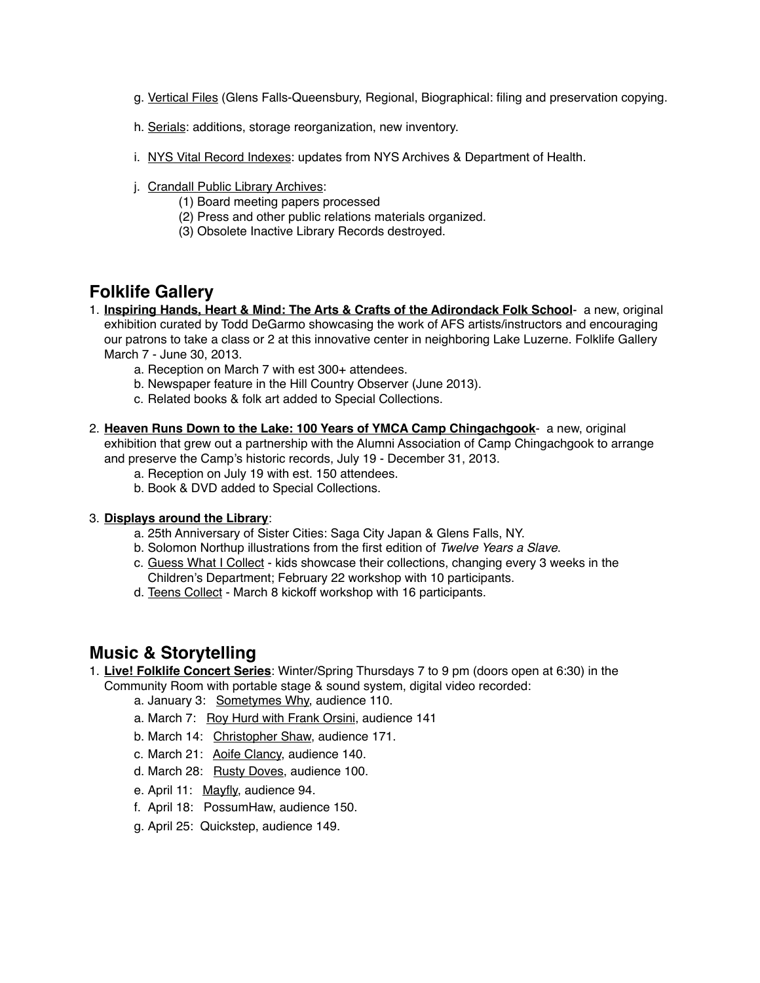- g. Vertical Files (Glens Falls-Queensbury, Regional, Biographical: filing and preservation copying.
- h. Serials: additions, storage reorganization, new inventory.
- i. NYS Vital Record Indexes: updates from NYS Archives & Department of Health.
- j. Crandall Public Library Archives:
	- (1) Board meeting papers processed
	- (2) Press and other public relations materials organized.
	- (3) Obsolete Inactive Library Records destroyed.

## **Folklife Gallery**

- 1. **Inspiring Hands, Heart & Mind: The Arts & Crafts of the Adirondack Folk School** a new, original exhibition curated by Todd DeGarmo showcasing the work of AFS artists/instructors and encouraging our patrons to take a class or 2 at this innovative center in neighboring Lake Luzerne. Folklife Gallery March 7 - June 30, 2013.
	- a. Reception on March 7 with est 300+ attendees.
	- b. Newspaper feature in the Hill Country Observer (June 2013).
	- c. Related books & folk art added to Special Collections.
- 2. **Heaven Runs Down to the Lake: 100 Years of YMCA Camp Chingachgook** a new, original exhibition that grew out a partnership with the Alumni Association of Camp Chingachgook to arrange and preserve the Camp's historic records, July 19 - December 31, 2013.
	- a. Reception on July 19 with est. 150 attendees.
	- b. Book & DVD added to Special Collections.

#### 3. **Displays around the Library**:

- a. 25th Anniversary of Sister Cities: Saga City Japan & Glens Falls, NY.
- b. Solomon Northup illustrations from the first edition of *Twelve Years a Slave*.
- c. Guess What I Collect kids showcase their collections, changing every 3 weeks in the Children's Department; February 22 workshop with 10 participants.
- d. Teens Collect March 8 kickoff workshop with 16 participants.

### **Music & Storytelling**

- 1. **Live! Folklife Concert Series**: Winter/Spring Thursdays 7 to 9 pm (doors open at 6:30) in the Community Room with portable stage & sound system, digital video recorded:
	- a. January 3: Sometymes Why, audience 110.
	- a. March 7: Roy Hurd with Frank Orsini, audience 141
	- b. March 14: Christopher Shaw, audience 171.
	- c. March 21: Aoife Clancy, audience 140.
	- d. March 28: Rusty Doves, audience 100.
	- e. April 11: Mayfly, audience 94.
	- f. April 18: PossumHaw, audience 150.
	- g. April 25: Quickstep, audience 149.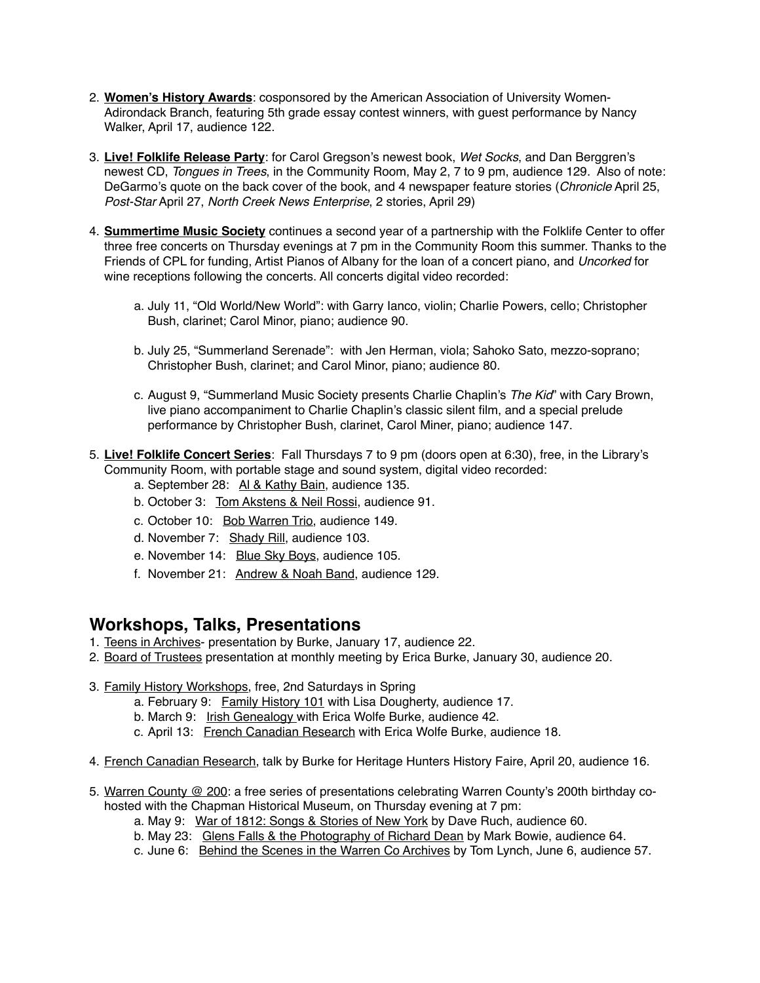- 2. **Women's History Awards**: cosponsored by the American Association of University Women-Adirondack Branch, featuring 5th grade essay contest winners, with guest performance by Nancy Walker, April 17, audience 122.
- 3. **Live! Folklife Release Party**: for Carol Gregson's newest book, *Wet Socks*, and Dan Berggren's newest CD, *Tongues in Trees*, in the Community Room, May 2, 7 to 9 pm, audience 129. Also of note: DeGarmo's quote on the back cover of the book, and 4 newspaper feature stories (*Chronicle* April 25, *Post-Star* April 27, *North Creek News Enterprise*, 2 stories, April 29)
- 4. **Summertime Music Society** continues a second year of a partnership with the Folklife Center to offer three free concerts on Thursday evenings at 7 pm in the Community Room this summer. Thanks to the Friends of CPL for funding, Artist Pianos of Albany for the loan of a concert piano, and *Uncorked* for wine receptions following the concerts. All concerts digital video recorded:
	- a. July 11, "Old World/New World": with Garry Ianco, violin; Charlie Powers, cello; Christopher Bush, clarinet; Carol Minor, piano; audience 90.
	- b. July 25, "Summerland Serenade": with Jen Herman, viola; Sahoko Sato, mezzo-soprano; Christopher Bush, clarinet; and Carol Minor, piano; audience 80.
	- c. August 9, "Summerland Music Society presents Charlie Chaplin's *The Kid*" with Cary Brown, live piano accompaniment to Charlie Chaplin's classic silent film, and a special prelude performance by Christopher Bush, clarinet, Carol Miner, piano; audience 147.
- 5. **Live! Folklife Concert Series**: Fall Thursdays 7 to 9 pm (doors open at 6:30), free, in the Library's Community Room, with portable stage and sound system, digital video recorded:
	- a. September 28: Al & Kathy Bain, audience 135.
	- b. October 3: Tom Akstens & Neil Rossi, audience 91.
	- c. October 10: Bob Warren Trio, audience 149.
	- d. November 7: Shady Rill, audience 103.
	- e. November 14: Blue Sky Boys, audience 105.
	- f. November 21: Andrew & Noah Band, audience 129.

### **Workshops, Talks, Presentations**

- 1. Teens in Archives- presentation by Burke, January 17, audience 22.
- 2. Board of Trustees presentation at monthly meeting by Erica Burke, January 30, audience 20.

#### 3. Family History Workshops, free, 2nd Saturdays in Spring

- a. February 9: Family History 101 with Lisa Dougherty, audience 17.
- b. March 9: Irish Genealogy with Erica Wolfe Burke, audience 42.
- c. April 13: French Canadian Research with Erica Wolfe Burke, audience 18.
- 4. French Canadian Research, talk by Burke for Heritage Hunters History Faire, April 20, audience 16.
- 5. Warren County @ 200: a free series of presentations celebrating Warren County's 200th birthday cohosted with the Chapman Historical Museum, on Thursday evening at 7 pm:
	- a. May 9: War of 1812: Songs & Stories of New York by Dave Ruch, audience 60.
	- b. May 23: Glens Falls & the Photography of Richard Dean by Mark Bowie, audience 64.
	- c. June 6: Behind the Scenes in the Warren Co Archives by Tom Lynch, June 6, audience 57.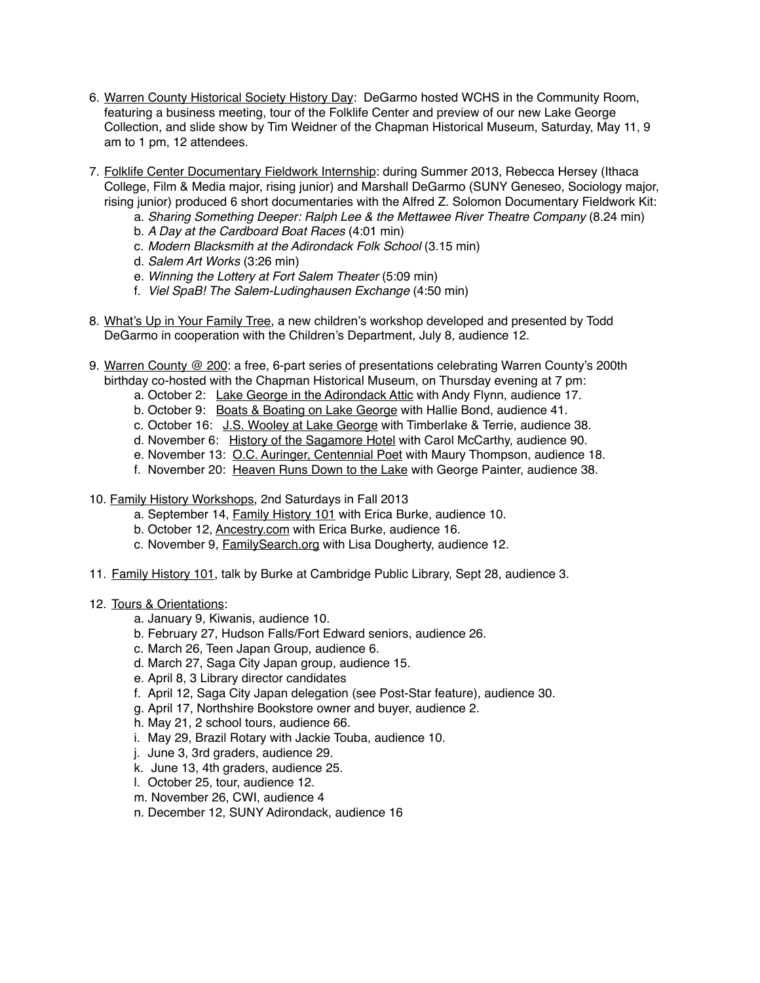- 6. Warren County Historical Society History Day: DeGarmo hosted WCHS in the Community Room, featuring a business meeting, tour of the Folklife Center and preview of our new Lake George Collection, and slide show by Tim Weidner of the Chapman Historical Museum, Saturday, May 11, 9 am to 1 pm, 12 attendees.
- 7. Folklife Center Documentary Fieldwork Internship: during Summer 2013, Rebecca Hersey (Ithaca College, Film & Media major, rising junior) and Marshall DeGarmo (SUNY Geneseo, Sociology major, rising junior) produced 6 short documentaries with the Alfred Z. Solomon Documentary Fieldwork Kit:
	- a. *Sharing Something Deeper: Ralph Lee & the Mettawee River Theatre Company* (8.24 min)
	- b. *A Day at the Cardboard Boat Races* (4:01 min)
	- c. *Modern Blacksmith at the Adirondack Folk School* (3.15 min)
	- d. *Salem Art Works* (3:26 min)
	- e. *Winning the Lottery at Fort Salem Theater* (5:09 min)
	- f. *Viel SpaB! The Salem-Ludinghausen Exchange* (4:50 min)
- 8. What's Up in Your Family Tree, a new children's workshop developed and presented by Todd DeGarmo in cooperation with the Children's Department, July 8, audience 12.
- 9. Warren County @ 200: a free, 6-part series of presentations celebrating Warren County's 200th birthday co-hosted with the Chapman Historical Museum, on Thursday evening at 7 pm:
	- a. October 2: Lake George in the Adirondack Attic with Andy Flynn, audience 17.
	- b. October 9: Boats & Boating on Lake George with Hallie Bond, audience 41.
	- c. October 16: J.S. Wooley at Lake George with Timberlake & Terrie, audience 38.
	- d. November 6: History of the Sagamore Hotel with Carol McCarthy, audience 90.
	- e. November 13: O.C. Auringer, Centennial Poet with Maury Thompson, audience 18.
	- f. November 20: Heaven Runs Down to the Lake with George Painter, audience 38.
- 10. Family History Workshops, 2nd Saturdays in Fall 2013
	- a. September 14, Family History 101 with Erica Burke, audience 10.
	- b. October 12, Ancestry.com with Erica Burke, audience 16.
	- c. November 9, FamilySearch.org with Lisa Dougherty, audience 12*.*
- 11. Family History 101, talk by Burke at Cambridge Public Library, Sept 28, audience 3.

#### 12. Tours & Orientations:

- a. January 9, Kiwanis, audience 10.
- b. February 27, Hudson Falls/Fort Edward seniors, audience 26.
- c. March 26, Teen Japan Group, audience 6.
- d. March 27, Saga City Japan group, audience 15.
- e. April 8, 3 Library director candidates
- f. April 12, Saga City Japan delegation (see Post-Star feature), audience 30.
- g. April 17, Northshire Bookstore owner and buyer, audience 2.
- h. May 21, 2 school tours, audience 66.
- i. May 29, Brazil Rotary with Jackie Touba, audience 10.
- j. June 3, 3rd graders, audience 29.
- k. June 13, 4th graders, audience 25.
- l. October 25, tour, audience 12.
- m. November 26, CWI, audience 4
- n. December 12, SUNY Adirondack, audience 16